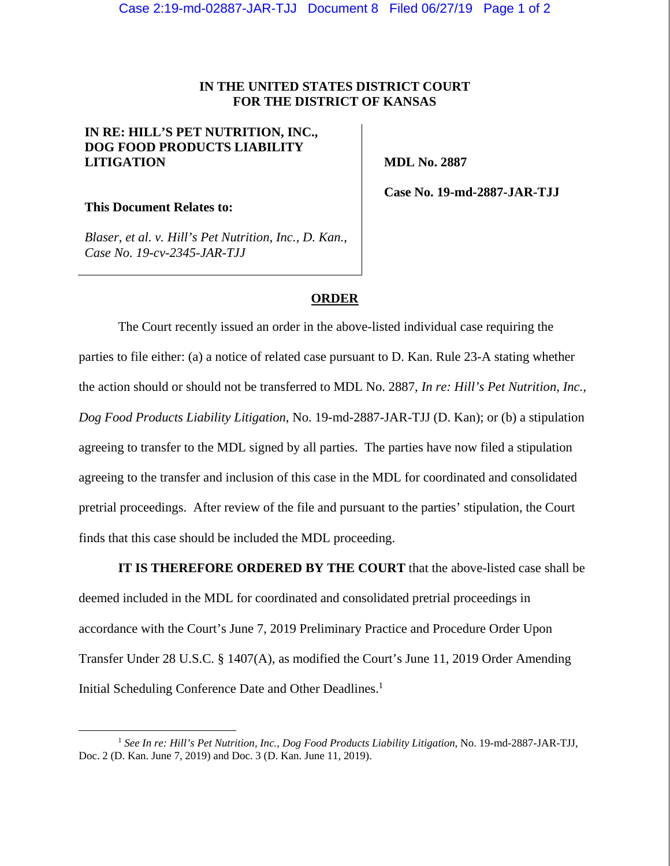## **IN THE UNITED STATES DISTRICT COURT FOR THE DISTRICT OF KANSAS**

## **IN RE: HILL'S PET NUTRITION, INC., DOG FOOD PRODUCTS LIABILITY LITIGATION**

 **MDL No. 2887** 

**This Document Relates to:** 

 **Case No. 19-md-2887-JAR-TJJ** 

*Blaser, et al. v. Hill's Pet Nutrition, Inc., D. Kan., Case No. 19-cv-2345-JAR-TJJ* 

## **ORDER**

The Court recently issued an order in the above-listed individual case requiring the parties to file either: (a) a notice of related case pursuant to D. Kan. Rule 23-A stating whether the action should or should not be transferred to MDL No. 2887, *In re: Hill's Pet Nutrition, Inc., Dog Food Products Liability Litigation*, No. 19-md-2887-JAR-TJJ (D. Kan); or (b) a stipulation agreeing to transfer to the MDL signed by all parties. The parties have now filed a stipulation agreeing to the transfer and inclusion of this case in the MDL for coordinated and consolidated pretrial proceedings. After review of the file and pursuant to the parties' stipulation, the Court finds that this case should be included the MDL proceeding.

**IT IS THEREFORE ORDERED BY THE COURT** that the above-listed case shall be deemed included in the MDL for coordinated and consolidated pretrial proceedings in accordance with the Court's June 7, 2019 Preliminary Practice and Procedure Order Upon Transfer Under 28 U.S.C. § 1407(A), as modified the Court's June 11, 2019 Order Amending Initial Scheduling Conference Date and Other Deadlines.<sup>1</sup>

 <sup>1</sup> *See In re: Hill's Pet Nutrition, Inc., Dog Food Products Liability Litigation*, No. 19-md-2887-JAR-TJJ, Doc. 2 (D. Kan. June 7, 2019) and Doc. 3 (D. Kan. June 11, 2019).